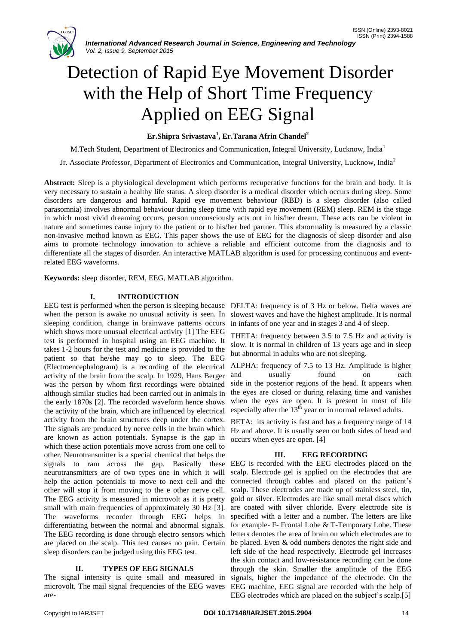

*International Advanced Research Journal in Science, Engineering and Technology Vol. 2, Issue 9, September 2015*

# Detection of Rapid Eye Movement Disorder with the Help of Short Time Frequency Applied on EEG Signal

## **Er.Shipra Srivastava<sup>1</sup> , Er.Tarana Afrin Chandel<sup>2</sup>**

M.Tech Student, Department of Electronics and Communication, Integral University, Lucknow, India<sup>1</sup>

Jr. Associate Professor, Department of Electronics and Communication, Integral University, Lucknow, India<sup>2</sup>

**Abstract:** Sleep is a physiological development which performs recuperative functions for the brain and body. It is very necessary to sustain a healthy life status. A sleep disorder is a medical disorder which occurs during sleep. Some disorders are dangerous and harmful. Rapid eye movement behaviour (RBD) is a sleep disorder (also called parasomnia) involves abnormal behaviour during sleep time with rapid eye movement (REM) sleep. REM is the stage in which most vivid dreaming occurs, person unconsciously acts out in his/her dream. These acts can be violent in nature and sometimes cause injury to the patient or to his/her bed partner. This abnormality is measured by a classic non-invasive method known as EEG. This paper shows the use of EEG for the diagnosis of sleep disorder and also aims to promote technology innovation to achieve a reliable and efficient outcome from the diagnosis and to differentiate all the stages of disorder. An interactive MATLAB algorithm is used for processing continuous and eventrelated EEG waveforms.

**Keywords:** sleep disorder, REM, EEG, MATLAB algorithm.

## **I. INTRODUCTION**

EEG test is performed when the person is sleeping because DELTA: frequency is of 3 Hz or below. Delta waves are when the person is awake no unusual activity is seen. In sleeping condition, change in brainwave patterns occurs which shows more unusual electrical activity [1] The EEG test is performed in hospital using an EEG machine. It takes 1-2 hours for the test and medicine is provided to the patient so that he/she may go to sleep. The EEG (Electroencephalogram) is a recording of the electrical activity of the brain from the scalp. In 1929, Hans Berger was the person by whom first recordings were obtained although similar studies had been carried out in animals in the early 1870s [2]. The recorded waveform hence shows the activity of the brain, which are influenced by electrical activity from the brain structures deep under the cortex. The signals are produced by nerve cells in the brain which are known as action potentials. Synapse is the gap in which these action potentials move across from one cell to other. Neurotransmitter is a special chemical that helps the signals to ram across the gap. Basically these neurotransmitters are of two types one in which it will help the action potentials to move to next cell and the other will stop it from moving to the e other nerve cell. The EEG activity is measured in microvolt as it is pretty small with main frequencies of approximately 30 Hz [3]. The waveforms recorder through EEG helps in differentiating between the normal and abnormal signals. The EEG recording is done through electro sensors which are placed on the scalp. This test causes no pain. Certain sleep disorders can be judged using this EEG test.

## **II. TYPES OF EEG SIGNALS**

The signal intensity is quite small and measured in are-

slowest waves and have the highest amplitude. It is normal in infants of one year and in stages 3 and 4 of sleep.

THETA: frequency between 3.5 to 7.5 Hz and activity is slow. It is normal in children of 13 years age and in sleep but abnormal in adults who are not sleeping.

ALPHA: frequency of 7.5 to 13 Hz. Amplitude is higher and usually found on each side in the posterior regions of the head. It appears when the eyes are closed or during relaxing time and vanishes when the eyes are open. It is present in most of life especially after the  $13<sup>th</sup>$  year or in normal relaxed adults.

BETA: its activity is fast and has a frequency range of 14 Hz and above. It is usually seen on both sides of head and occurs when eyes are open. [4]

## **III. EEG RECORDING**

microvolt. The mail signal frequencies of the EEG waves EEG machine, EEG signal are recorded with the help of EEG is recorded with the EEG electrodes placed on the scalp. Electrode gel is applied on the electrodes that are connected through cables and placed on the patient's scalp. These electrodes are made up of stainless steel, tin, gold or silver. Electrodes are like small metal discs which are coated with silver chloride. Every electrode site is specified with a letter and a number. The letters are like for example- F- Frontal Lobe & T-Temporary Lobe. These letters denotes the area of brain on which electrodes are to be placed. Even & odd numbers denotes the right side and left side of the head respectively. Electrode gel increases the skin contact and low-resistance recording can be done through the skin. Smaller the amplitude of the EEG signals, higher the impedance of the electrode. On the EEG electrodes which are placed on the subject's scalp.[5]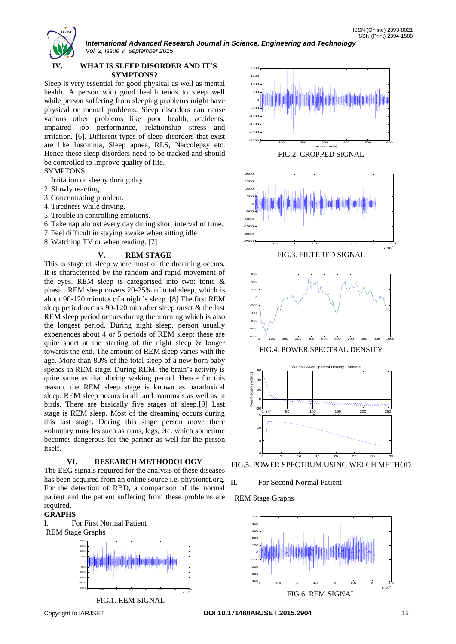

*International Advanced Research Journal in Science, Engineering and Technology Vol. 2, Issue 9, September 2015*

## **IV. WHAT IS SLEEP DISORDER AND IT'S SYMPTONS?**

Sleep is very essential for good physical as well as mental health. A person with good health tends to sleep well while person suffering from sleeping problems might have physical or mental problems. Sleep disorders can cause various other problems like poor health, accidents, impaired job performance, relationship stress and irritation. [6]. Different types of sleep disorders that exist are like Insomnia, Sleep apnea, RLS, Narcolepsy etc. Hence these sleep disorders need to be tracked and should be controlled to improve quality of life. SYMPTONS:

1.Irritation or sleepy during day.

- 2. Slowly reacting.
- 3.Concentrating problem.
- 4.Tiredness while driving.
- 5.Trouble in controlling emotions.
- 6.Take nap almost every day during short interval of time.
- 7. Feel difficult in staying awake when sitting idle
- 8.Watching TV or when reading. [7]

## **V. REM STAGE**

This is stage of sleep where most of the dreaming occurs. It is characterised by the random and rapid movement of the eyes. REM sleep is categorised into two: tonic  $\&$ phasic. REM sleep covers 20-25% of total sleep, which is about 90-120 minutes of a night's sleep. [8] The first REM sleep period occurs 90-120 min after sleep onset & the last REM sleep period occurs during the morning which is also the longest period. During night sleep, person usually experiences about 4 or 5 periods of REM sleep: these are quite short at the starting of the night sleep & longer towards the end. The amount of REM sleep varies with the age. More than 80% of the total sleep of a new born baby spends in REM stage. During REM, the brain's activity is quite same as that during waking period. Hence for this reason, the REM sleep stage is known as paradoxical sleep. REM sleep occurs in all land mammals as well as in birds. There are basically five stages of sleep.[9] Last stage is REM sleep. Most of the dreaming occurs during this last stage. During this stage person move there voluntary muscles such as arms, legs, etc. which sometime becomes dangerous for the partner as well for the person itself.

#### **VI. RESEARCH METHODOLOGY**

The EEG signals required for the analysis of these diseases has been acquired from an online source i.e. physionet.org. For the detection of RBD, a comparison of the normal patient and the patient suffering from these problems are required.

## **GRAPHS**

I. For First Normal Patient REM Stage Graphs



FIG.1. REM SIGNAL



FIG.2. CROPPED SIGNAL



FIG.3. FILTERED SIGNAL



FIG.4. POWER SPECTRAL DENSITY



FIG.5. POWER SPECTRUM USING WELCH METHOD

II. For Second Normal Patient

REM Stage Graphs

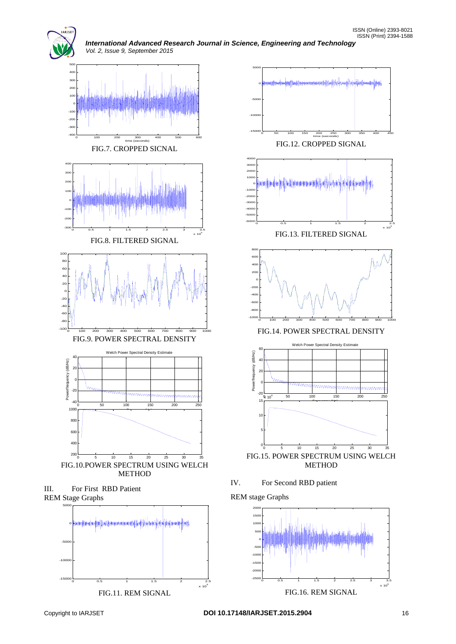

*International Advanced Research Journal in Science, Engineering and Technology Vol. 2, Issue 9, September 2015*







IV. For Second RBD patient

REM stage Graphs